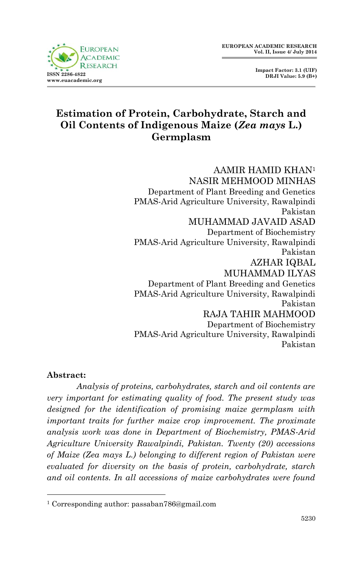**Impact Factor: 3.1 (UIF) DRJI Value: 5.9 (B+)**

# **Estimation of Protein, Carbohydrate, Starch and Oil Contents of Indigenous Maize (***Zea mays* **L.) Germplasm**

AAMIR HAMID KHAN<sup>1</sup> NASIR MEHMOOD MINHAS Department of Plant Breeding and Genetics PMAS-Arid Agriculture University, Rawalpindi Pakistan MUHAMMAD JAVAID ASAD Department of Biochemistry PMAS-Arid Agriculture University, Rawalpindi Pakistan AZHAR IQBAL MUHAMMAD ILYAS Department of Plant Breeding and Genetics PMAS-Arid Agriculture University, Rawalpindi Pakistan RAJA TAHIR MAHMOOD Department of Biochemistry PMAS-Arid Agriculture University, Rawalpindi Pakistan

## **Abstract:**

1

*Analysis of proteins, carbohydrates, starch and oil contents are very important for estimating quality of food. The present study was designed for the identification of promising maize germplasm with important traits for further maize crop improvement. The proximate analysis work was done in Department of Biochemistry, PMAS-Arid Agriculture University Rawalpindi, Pakistan. Twenty (20) accessions of Maize (Zea mays L.) belonging to different region of Pakistan were evaluated for diversity on the basis of protein, carbohydrate, starch and oil contents. In all accessions of maize carbohydrates were found* 

<sup>1</sup> Corresponding author: passaban786@gmail.com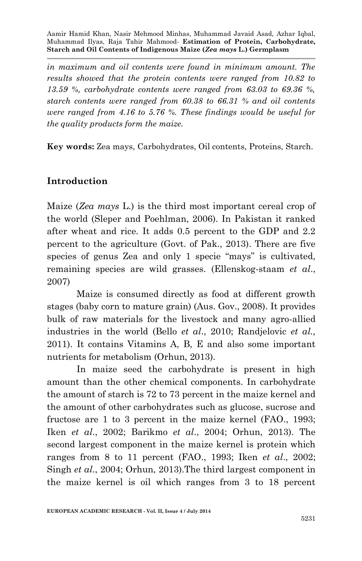*in maximum and oil contents were found in minimum amount. The results showed that the protein contents were ranged from 10.82 to 13.59 %, carbohydrate contents were ranged from 63.03 to 69.36 %, starch contents were ranged from 60.38 to 66.31 % and oil contents were ranged from 4.16 to 5.76 %. These findings would be useful for the quality products form the maize.*

**Key words:** Zea mays, Carbohydrates, Oil contents, Proteins, Starch.

# **Introduction**

Maize (*Zea mays* L.) is the third most important cereal crop of the world (Sleper and Poehlman, 2006). In Pakistan it ranked after wheat and rice. It adds 0.5 percent to the GDP and 2.2 percent to the agriculture (Govt. of Pak., 2013). There are five species of genus Zea and only 1 specie "mays" is cultivated, remaining species are wild grasses. (Ellenskog-staam *et al*., 2007)

Maize is consumed directly as food at different growth stages (baby corn to mature grain) (Aus. Gov., 2008). It provides bulk of raw materials for the livestock and many agro-allied industries in the world (Bello *et al*., 2010; Randjelovic *et al.,*  2011). It contains Vitamins A, B, E and also some important nutrients for metabolism (Orhun, 2013).

In maize seed the carbohydrate is present in high amount than the other chemical components. In carbohydrate the amount of starch is 72 to 73 percent in the maize kernel and the amount of other carbohydrates such as glucose, sucrose and fructose are 1 to 3 percent in the maize kernel (FAO., 1993; Iken *et al*., 2002; Barikmo *et al*., 2004; Orhun, 2013). The second largest component in the maize kernel is protein which ranges from 8 to 11 percent (FAO., 1993; Iken *et al*., 2002; Singh *et al*., 2004; Orhun, 2013).The third largest component in the maize kernel is oil which ranges from 3 to 18 percent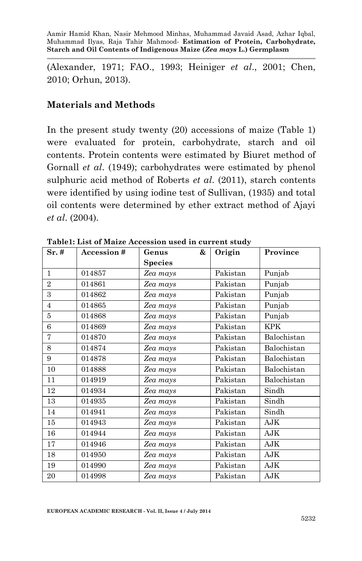(Alexander, 1971; FAO., 1993; Heiniger *et al*., 2001; Chen, 2010; Orhun, 2013).

## **Materials and Methods**

In the present study twenty (20) accessions of maize (Table 1) were evaluated for protein, carbohydrate, starch and oil contents. Protein contents were estimated by Biuret method of Gornall *et al*. (1949); carbohydrates were estimated by phenol sulphuric acid method of Roberts *et al*. (2011), starch contents were identified by using iodine test of Sullivan, (1935) and total oil contents were determined by ether extract method of Ajayi *et al*. (2004).

| Sr.#           | <b>Accession#</b> | &<br>Genus     | Origin   | Province    |  |
|----------------|-------------------|----------------|----------|-------------|--|
|                |                   | <b>Species</b> |          |             |  |
| $\mathbf{1}$   | 014857            | Zea mays       | Pakistan | Punjab      |  |
| $\overline{2}$ | 014861            | Zea mays       | Pakistan | Punjab      |  |
| 3              | 014862            | Zea mays       | Pakistan | Punjab      |  |
| $\overline{4}$ | 014865            | Zea mays       | Pakistan | Punjab      |  |
| 5              | 014868            | Zea mays       | Pakistan | Punjab      |  |
| 6              | 014869            | Zea mays       | Pakistan | <b>KPK</b>  |  |
| 7              | 014870            | Zea mays       | Pakistan | Balochistan |  |
| 8              | 014874            | Zea mays       | Pakistan | Balochistan |  |
| 9              | 014878            | Zea mays       | Pakistan | Balochistan |  |
| 10             | 014888            | Zea mays       | Pakistan | Balochistan |  |
| 11             | 014919            | Zea mays       | Pakistan | Balochistan |  |
| 12             | 014934            | Zea mays       | Pakistan | Sindh       |  |
| 13             | 014935            | Zea mays       | Pakistan | Sindh       |  |
| 14             | 014941            | Zea mays       | Pakistan | Sindh       |  |
| 15             | 014943            | Zea mays       | Pakistan | AJK         |  |
| 16             | 014944            | Zea mays       | Pakistan | AJK         |  |
| 17             | 014946            | Zea mays       | Pakistan | AJK         |  |
| 18             | 014950            | Zea mays       | Pakistan | AJK         |  |
| 19             | 014990            | Zea mays       | Pakistan | AJK         |  |
| 20             | 014998            | Zea mays       | Pakistan | AJK         |  |

**Table1: List of Maize Accession used in current study**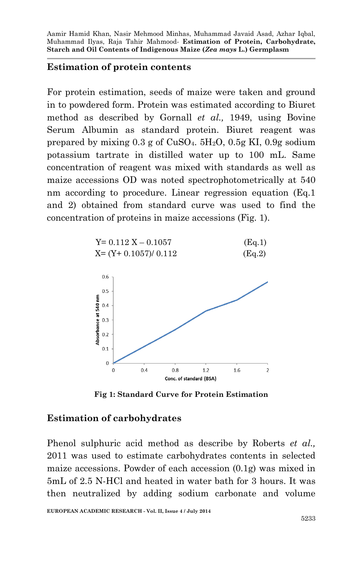## **Estimation of protein contents**

For protein estimation, seeds of maize were taken and ground in to powdered form. Protein was estimated according to Biuret method as described by Gornall *et al.,* 1949, using Bovine Serum Albumin as standard protein. Biuret reagent was prepared by mixing  $0.3$  g of  $CuSO<sub>4</sub>$ ,  $5H<sub>2</sub>O$ ,  $0.5g$  KI,  $0.9g$  sodium potassium tartrate in distilled water up to 100 mL. Same concentration of reagent was mixed with standards as well as maize accessions OD was noted spectrophotometrically at 540 nm according to procedure. Linear regression equation (Eq.1 and 2) obtained from standard curve was used to find the concentration of proteins in maize accessions (Fig. 1).



**Fig 1: Standard Curve for Protein Estimation**

## **Estimation of carbohydrates**

Phenol sulphuric acid method as describe by Roberts *et al.,* 2011 was used to estimate carbohydrates contents in selected maize accessions. Powder of each accession (0.1g) was mixed in 5mL of 2.5 N-HCl and heated in water bath for 3 hours. It was then neutralized by adding sodium carbonate and volume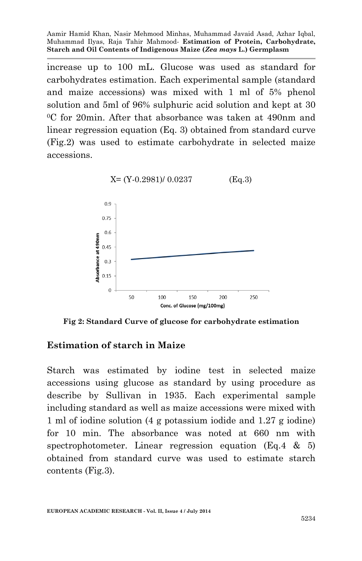increase up to 100 mL. Glucose was used as standard for carbohydrates estimation. Each experimental sample (standard and maize accessions) was mixed with 1 ml of 5% phenol solution and 5ml of 96% sulphuric acid solution and kept at 30 <sup>0</sup>C for 20min. After that absorbance was taken at 490nm and linear regression equation (Eq. 3) obtained from standard curve (Fig.2) was used to estimate carbohydrate in selected maize accessions.



**Fig 2: Standard Curve of glucose for carbohydrate estimation**

## **Estimation of starch in Maize**

Starch was estimated by iodine test in selected maize accessions using glucose as standard by using procedure as describe by Sullivan in 1935. Each experimental sample including standard as well as maize accessions were mixed with 1 ml of iodine solution (4 g potassium iodide and 1.27 g iodine) for 10 min. The absorbance was noted at 660 nm with spectrophotometer. Linear regression equation (Eq.4  $\&$  5) obtained from standard curve was used to estimate starch contents (Fig.3).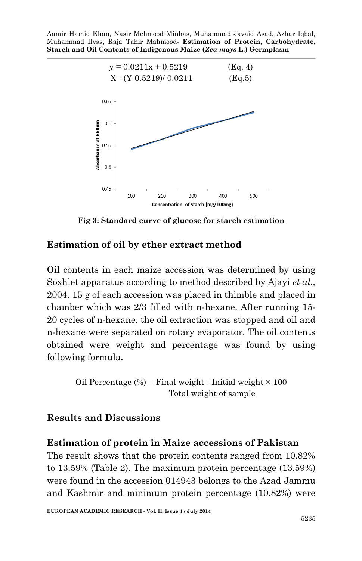

**Fig 3: Standard curve of glucose for starch estimation**

## **Estimation of oil by ether extract method**

Oil contents in each maize accession was determined by using Soxhlet apparatus according to method described by Ajayi *et al.,* 2004. 15 g of each accession was placed in thimble and placed in chamber which was 2/3 filled with n-hexane. After running 15- 20 cycles of n-hexane, the oil extraction was stopped and oil and n-hexane were separated on rotary evaporator. The oil contents obtained were weight and percentage was found by using following formula.

> Oil Percentage  $(\%)$  = Final weight - Initial weight  $\times$  100 Total weight of sample

## **Results and Discussions**

#### **Estimation of protein in Maize accessions of Pakistan**

The result shows that the protein contents ranged from 10.82% to 13.59% (Table 2). The maximum protein percentage (13.59%) were found in the accession 014943 belongs to the Azad Jammu and Kashmir and minimum protein percentage (10.82%) were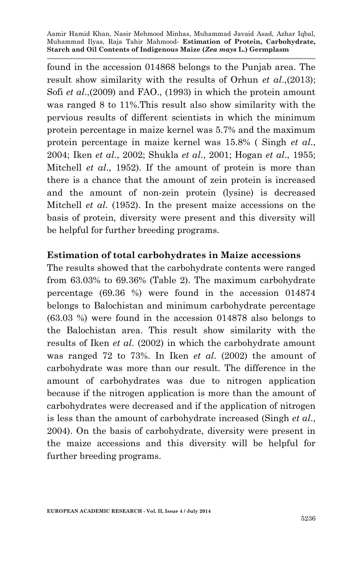found in the accession 014868 belongs to the Punjab area. The result show similarity with the results of Orhun *et al*.,(2013); Sofi *et al*.,(2009) and FAO., (1993) in which the protein amount was ranged 8 to 11%.This result also show similarity with the pervious results of different scientists in which the minimum protein percentage in maize kernel was 5.7% and the maximum protein percentage in maize kernel was 15.8% ( Singh *et al*., 2004; Iken *et al*., 2002; Shukla *et al*., 2001; Hogan *et al*., 1955; Mitchell *et al*., 1952). If the amount of protein is more than there is a chance that the amount of zein protein is increased and the amount of non-zein protein (lysine) is decreased Mitchell *et al*. (1952). In the present maize accessions on the basis of protein, diversity were present and this diversity will be helpful for further breeding programs.

## **Estimation of total carbohydrates in Maize accessions**

The results showed that the carbohydrate contents were ranged from 63.03% to 69.36% (Table 2). The maximum carbohydrate percentage (69.36 %) were found in the accession 014874 belongs to Balochistan and minimum carbohydrate percentage (63.03 %) were found in the accession 014878 also belongs to the Balochistan area. This result show similarity with the results of Iken *et al*. (2002) in which the carbohydrate amount was ranged 72 to 73%. In Iken *et al*. (2002) the amount of carbohydrate was more than our result. The difference in the amount of carbohydrates was due to nitrogen application because if the nitrogen application is more than the amount of carbohydrates were decreased and if the application of nitrogen is less than the amount of carbohydrate increased (Singh *et al*., 2004). On the basis of carbohydrate, diversity were present in the maize accessions and this diversity will be helpful for further breeding programs.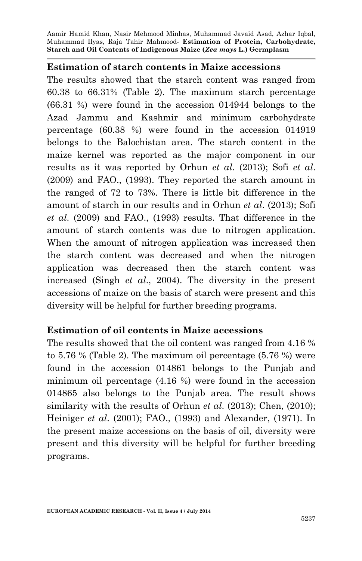#### **Estimation of starch contents in Maize accessions**

The results showed that the starch content was ranged from 60.38 to 66.31% (Table 2). The maximum starch percentage (66.31 %) were found in the accession 014944 belongs to the Azad Jammu and Kashmir and minimum carbohydrate percentage (60.38 %) were found in the accession 014919 belongs to the Balochistan area. The starch content in the maize kernel was reported as the major component in our results as it was reported by Orhun *et al*. (2013); Sofi *et al*. (2009) and FAO., (1993). They reported the starch amount in the ranged of 72 to 73%. There is little bit difference in the amount of starch in our results and in Orhun *et al*. (2013); Sofi *et al*. (2009) and FAO., (1993) results. That difference in the amount of starch contents was due to nitrogen application. When the amount of nitrogen application was increased then the starch content was decreased and when the nitrogen application was decreased then the starch content was increased (Singh *et al*., 2004). The diversity in the present accessions of maize on the basis of starch were present and this diversity will be helpful for further breeding programs.

## **Estimation of oil contents in Maize accessions**

The results showed that the oil content was ranged from 4.16 % to 5.76 % (Table 2). The maximum oil percentage (5.76 %) were found in the accession 014861 belongs to the Punjab and minimum oil percentage (4.16 %) were found in the accession 014865 also belongs to the Punjab area. The result shows similarity with the results of Orhun *et al*. (2013); Chen, (2010); Heiniger *et al*. (2001); FAO., (1993) and Alexander, (1971). In the present maize accessions on the basis of oil, diversity were present and this diversity will be helpful for further breeding programs.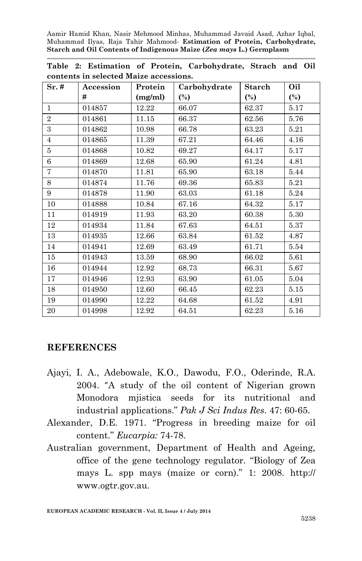| $Sr.$ #        | Accession | Protein | Carbohydrate | Starch | Oil            |
|----------------|-----------|---------|--------------|--------|----------------|
|                | #         | (mg/ml) | $(\%)$       | $(\%)$ | $\binom{0}{0}$ |
| $\mathbf{1}$   | 014857    | 12.22   | 66.07        | 62.37  | 5.17           |
| $\overline{2}$ | 014861    | 11.15   | 66.37        | 62.56  | 5.76           |
| 3              | 014862    | 10.98   | 66.78        | 63.23  | 5.21           |
| $\overline{4}$ | 014865    | 11.39   | 67.21        | 64.46  | 4.16           |
| 5              | 014868    | 10.82   | 69.27        | 64.17  | 5.17           |
| $\,6$          | 014869    | 12.68   | 65.90        | 61.24  | 4.81           |
| 7              | 014870    | 11.81   | 65.90        | 63.18  | 5.44           |
| 8              | 014874    | 11.76   | 69.36        | 65.83  | 5.21           |
| 9              | 014878    | 11.90   | 63.03        | 61.18  | 5.24           |
| 10             | 014888    | 10.84   | 67.16        | 64.32  | 5.17           |
| 11             | 014919    | 11.93   | 63.20        | 60.38  | 5.30           |
| 12             | 014934    | 11.84   | 67.63        | 64.51  | 5.37           |
| 13             | 014935    | 12.66   | 63.84        | 61.52  | 4.87           |
| 14             | 014941    | 12.69   | 63.49        | 61.71  | 5.54           |
| 15             | 014943    | 13.59   | 68.90        | 66.02  | 5.61           |
| 16             | 014944    | 12.92   | 68.73        | 66.31  | 5.67           |
| 17             | 014946    | 12.93   | 63.90        | 61.05  | 5.04           |
| 18             | 014950    | 12.60   | 66.45        | 62.23  | 5.15           |
| 19             | 014990    | 12.22   | 64.68        | 61.52  | 4.91           |
| 20             | 014998    | 12.92   | 64.51        | 62.23  | 5.16           |

**Table 2: Estimation of Protein, Carbohydrate, Strach and Oil contents in selected Maize accessions.**

## **REFERENCES**

- Ajayi, I. A., Adebowale, K.O., Dawodu, F.O., Oderinde, R.A. 2004. "A study of the oil content of Nigerian grown Monodora mjistica seeds for its nutritional and industrial applications." *Pak J Sci Indus Res*. 47: 60-65.
- Alexander, D.E. 1971. "Progress in breeding maize for oil content." *Eucarpia:* 74-78.
- Australian government, Department of Health and Ageing, office of the gene technology regulator. "Biology of Zea mays L. spp mays (maize or corn)." 1: 2008. http:// www.ogtr.gov.au.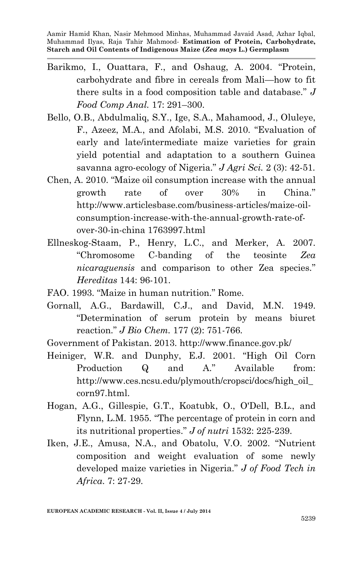- Barikmo, I., Ouattara, F., and Oshaug, A. 2004. "Protein, carbohydrate and fibre in cereals from Mali—how to fit there sults in a food composition table and database." *J Food Comp Anal.* 17: 291–300.
- Bello, O.B., Abdulmaliq, S.Y., Ige, S.A., Mahamood, J., Oluleye, F., Azeez, M.A., and Afolabi, M.S. 2010. "Evaluation of early and late/intermediate maize varieties for grain yield potential and adaptation to a southern Guinea savanna agro-ecology of Nigeria." *J Agri Sci.* 2 (3): 42-51.
- Chen, A. 2010. "Maize oil consumption increase with the annual growth rate of over 30% in China." http://www.articlesbase.com/business-articles/maize-oilconsumption-increase-with-the-annual-growth-rate-ofover-30-in-china 1763997.html
- Ellneskog-Staam, P., Henry, L.C., and Merker, A. 2007. "Chromosome C-banding of the teosinte *Zea nicaraguensis* and comparison to other Zea species." *Hereditas* 144: 96-101.
- FAO. 1993. "Maize in human nutrition." Rome.
- Gornall, A.G., Bardawill, C.J., and David, M.N. 1949. "Determination of serum protein by means biuret reaction." *J Bio Chem.* 177 (2): 751-766.
- Government of Pakistan. 2013. http://www.finance.gov.pk/
- Heiniger, W.R. and Dunphy, E.J. 2001. "High Oil Corn Production Q and A." Available from: http://www.ces.ncsu.edu/plymouth/cropsci/docs/high\_oil\_ corn97.html.
- Hogan, A.G., Gillespie, G.T., Koatubk, O., O'Dell, B.L., and Flynn, L.M. 1955. "The percentage of protein in corn and its nutritional properties." *J of nutri* 1532: 225-239.
- Iken, J.E., Amusa, N.A., and Obatolu, V.O. 2002. "Nutrient composition and weight evaluation of some newly developed maize varieties in Nigeria." *J of Food Tech in Africa*. 7: 27-29.